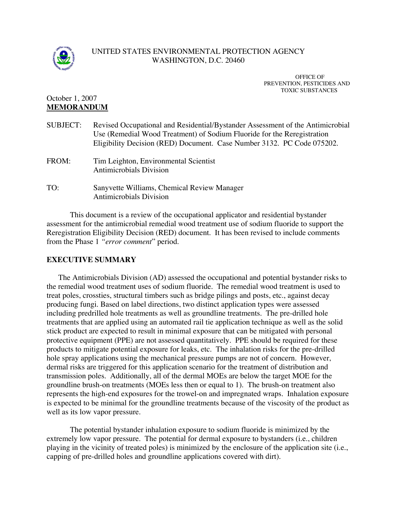

## UNITED STATES ENVIRONMENTAL PROTECTION AGENCY WASHINGTON, D.C. 20460

OFFICE OF PREVENTION, PESTICIDES AND TOXIC SUBSTANCES

# October 1, 2007 **MEMORANDUM**

| <b>SUBJECT:</b> | Revised Occupational and Residential/Bystander Assessment of the Antimicrobial<br>Use (Remedial Wood Treatment) of Sodium Fluoride for the Reregistration<br>Eligibility Decision (RED) Document. Case Number 3132. PC Code 075202. |
|-----------------|-------------------------------------------------------------------------------------------------------------------------------------------------------------------------------------------------------------------------------------|
| FROM:           | Tim Leighton, Environmental Scientist<br>Antimicrobials Division                                                                                                                                                                    |
| TO:             | Sanyvette Williams, Chemical Review Manager<br><b>Antimicrobials Division</b>                                                                                                                                                       |

This document is a review of the occupational applicator and residential bystander assessment for the antimicrobial remedial wood treatment use of sodium fluoride to support the Reregistration Eligibility Decision (RED) document. It has been revised to include comments from the Phase 1 *"error comment*" period.

## **EXECUTIVE SUMMARY**

The Antimicrobials Division (AD) assessed the occupational and potential bystander risks to the remedial wood treatment uses of sodium fluoride. The remedial wood treatment is used to treat poles, crossties, structural timbers such as bridge pilings and posts, etc., against decay producing fungi. Based on label directions, two distinct application types were assessed including predrilled hole treatments as well as groundline treatments. The pre-drilled hole treatments that are applied using an automated rail tie application technique as well as the solid stick product are expected to result in minimal exposure that can be mitigated with personal protective equipment (PPE) are not assessed quantitatively. PPE should be required for these products to mitigate potential exposure for leaks, etc. The inhalation risks for the pre-drilled hole spray applications using the mechanical pressure pumps are not of concern. However, dermal risks are triggered for this application scenario for the treatment of distribution and transmission poles. Additionally, all of the dermal MOEs are below the target MOE for the groundline brush-on treatments (MOEs less then or equal to 1). The brush-on treatment also represents the high-end exposures for the trowel-on and impregnated wraps. Inhalation exposure is expected to be minimal for the groundline treatments because of the viscosity of the product as well as its low vapor pressure.

The potential bystander inhalation exposure to sodium fluoride is minimized by the extremely low vapor pressure. The potential for dermal exposure to bystanders (i.e., children playing in the vicinity of treated poles) is minimized by the enclosure of the application site (i.e., capping of pre-drilled holes and groundline applications covered with dirt).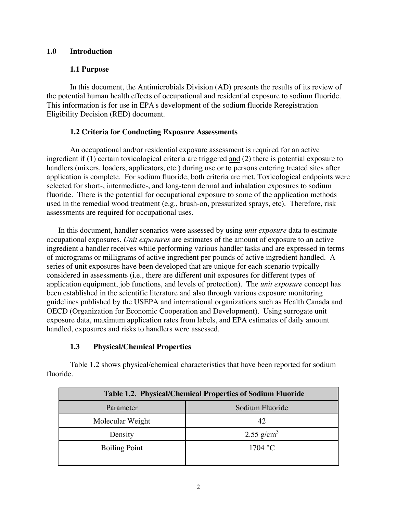## **1.0 Introduction**

## **1.1 Purpose**

In this document, the Antimicrobials Division (AD) presents the results of its review of the potential human health effects of occupational and residential exposure to sodium fluoride. This information is for use in EPA's development of the sodium fluoride Reregistration Eligibility Decision (RED) document.

## **1.2 Criteria for Conducting Exposure Assessments**

An occupational and/or residential exposure assessment is required for an active ingredient if (1) certain toxicological criteria are triggered and (2) there is potential exposure to handlers (mixers, loaders, applicators, etc.) during use or to persons entering treated sites after application is complete. For sodium fluoride, both criteria are met. Toxicological endpoints were selected for short-, intermediate-, and long-term dermal and inhalation exposures to sodium fluoride. There is the potential for occupational exposure to some of the application methods used in the remedial wood treatment (e.g., brush-on, pressurized sprays, etc). Therefore, risk assessments are required for occupational uses.

In this document, handler scenarios were assessed by using *unit exposure* data to estimate occupational exposures. *Unit exposures* are estimates of the amount of exposure to an active ingredient a handler receives while performing various handler tasks and are expressed in terms of micrograms or milligrams of active ingredient per pounds of active ingredient handled. A series of unit exposures have been developed that are unique for each scenario typically considered in assessments (i.e., there are different unit exposures for different types of application equipment, job functions, and levels of protection). The *unit exposure* concept has been established in the scientific literature and also through various exposure monitoring guidelines published by the USEPA and international organizations such as Health Canada and OECD (Organization for Economic Cooperation and Development). Using surrogate unit exposure data, maximum application rates from labels, and EPA estimates of daily amount handled, exposures and risks to handlers were assessed.

# **1.3 Physical/Chemical Properties**

Table 1.2 shows physical/chemical characteristics that have been reported for sodium fluoride.

| <b>Table 1.2. Physical/Chemical Properties of Sodium Fluoride</b> |                        |  |  |  |  |
|-------------------------------------------------------------------|------------------------|--|--|--|--|
| Parameter                                                         | Sodium Fluoride        |  |  |  |  |
| Molecular Weight                                                  | 42                     |  |  |  |  |
| Density                                                           | 2.55 g/cm <sup>3</sup> |  |  |  |  |
| <b>Boiling Point</b>                                              | 1704 °C                |  |  |  |  |
|                                                                   |                        |  |  |  |  |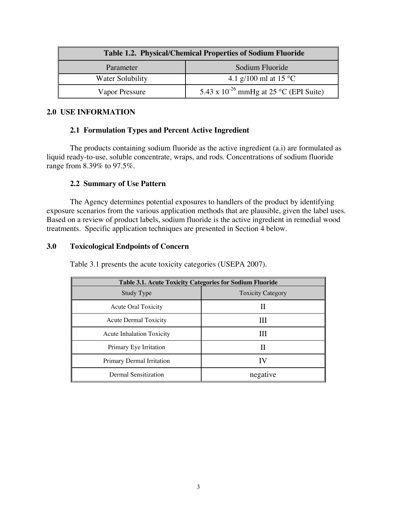| <b>Table 1.2. Physical/Chemical Properties of Sodium Fluoride</b> |                                             |  |  |  |  |  |
|-------------------------------------------------------------------|---------------------------------------------|--|--|--|--|--|
| Parameter                                                         | Sodium Fluoride                             |  |  |  |  |  |
| Water Solubility                                                  | 4.1 g/100 ml at 15 °C                       |  |  |  |  |  |
| Vapor Pressure                                                    | 5.43 x $10^{-26}$ mmHg at 25 °C (EPI Suite) |  |  |  |  |  |

## **2.0 USE INFORMATION**

## **2.1 Formulation Types and Percent Active Ingredient**

The products containing sodium fluoride as the active ingredient (a.i) are formulated as liquid ready-to-use, soluble concentrate, wraps, and rods. Concentrations of sodium fluoride range from 8.39% to 97.5%.

## **2.2 Summary of Use Pattern**

The Agency determines potential exposures to handlers of the product by identifying exposure scenarios from the various application methods that are plausible, given the label uses. Based on a review of product labels, sodium fluoride is the active ingredient in remedial wood treatments. Specific application techniques are presented in Section 4 below.

## **3.0 Toxicological Endpoints of Concern**

| <b>Table 3.1. Acute Toxicity Categories for Sodium Fluoride</b> |                          |  |  |  |  |  |  |
|-----------------------------------------------------------------|--------------------------|--|--|--|--|--|--|
| Study Type                                                      | <b>Toxicity Category</b> |  |  |  |  |  |  |
| <b>Acute Oral Toxicity</b>                                      | Н                        |  |  |  |  |  |  |
| Acute Dermal Toxicity                                           | Ш                        |  |  |  |  |  |  |
| <b>Acute Inhalation Toxicity</b>                                | Ш                        |  |  |  |  |  |  |
| Primary Eye Irritation                                          | Н                        |  |  |  |  |  |  |
| Primary Dermal Irritation                                       | IV                       |  |  |  |  |  |  |
| Dermal Sensitization                                            | negative                 |  |  |  |  |  |  |

Table 3.1 presents the acute toxicity categories (USEPA 2007).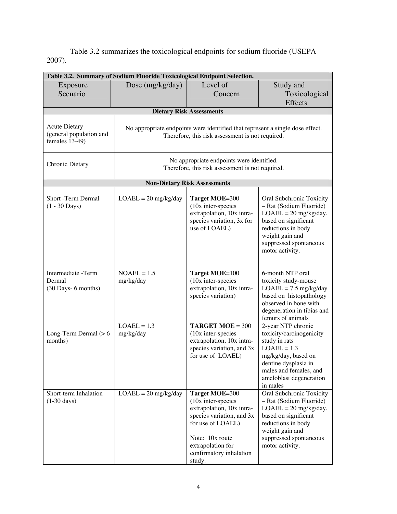Table 3.2 summarizes the toxicological endpoints for sodium fluoride (USEPA 2007).

| Table 3.2. Summary of Sodium Fluoride Toxicological Endpoint Selection.                                                 |                                                                                                                                   |                                                                                                                                                                                                    |                                                                                                                                                                                                  |  |  |  |  |  |  |
|-------------------------------------------------------------------------------------------------------------------------|-----------------------------------------------------------------------------------------------------------------------------------|----------------------------------------------------------------------------------------------------------------------------------------------------------------------------------------------------|--------------------------------------------------------------------------------------------------------------------------------------------------------------------------------------------------|--|--|--|--|--|--|
| Exposure                                                                                                                | Dose $(mg/kg/day)$                                                                                                                | Level of                                                                                                                                                                                           | Study and                                                                                                                                                                                        |  |  |  |  |  |  |
| Scenario                                                                                                                |                                                                                                                                   | Concern                                                                                                                                                                                            | Toxicological                                                                                                                                                                                    |  |  |  |  |  |  |
|                                                                                                                         |                                                                                                                                   |                                                                                                                                                                                                    | <b>Effects</b>                                                                                                                                                                                   |  |  |  |  |  |  |
| <b>Dietary Risk Assessments</b>                                                                                         |                                                                                                                                   |                                                                                                                                                                                                    |                                                                                                                                                                                                  |  |  |  |  |  |  |
| <b>Acute Dietary</b><br>(general population and<br>females 13-49)                                                       | No appropriate endpoints were identified that represent a single dose effect.<br>Therefore, this risk assessment is not required. |                                                                                                                                                                                                    |                                                                                                                                                                                                  |  |  |  |  |  |  |
| No appropriate endpoints were identified.<br><b>Chronic Dietary</b><br>Therefore, this risk assessment is not required. |                                                                                                                                   |                                                                                                                                                                                                    |                                                                                                                                                                                                  |  |  |  |  |  |  |
|                                                                                                                         |                                                                                                                                   | <b>Non-Dietary Risk Assessments</b>                                                                                                                                                                |                                                                                                                                                                                                  |  |  |  |  |  |  |
| Short -Term Dermal<br>$(1 - 30 \text{ Days})$                                                                           | $LOAEL = 20$ mg/kg/day                                                                                                            | Target MOE=300<br>(10x inter-species<br>extrapolation, 10x intra-<br>species variation, 3x for<br>use of LOAEL)                                                                                    | Oral Subchronic Toxicity<br>- Rat (Sodium Fluoride)<br>$LOAEL = 20$ mg/kg/day,<br>based on significant<br>reductions in body<br>weight gain and<br>suppressed spontaneous<br>motor activity.     |  |  |  |  |  |  |
| Intermediate -Term<br>Dermal<br>(30 Days- 6 months)                                                                     | $NOAEL = 1.5$<br>mg/kg/day                                                                                                        | Target MOE=100<br>(10x inter-species<br>extrapolation, 10x intra-<br>species variation)                                                                                                            | 6-month NTP oral<br>toxicity study-mouse<br>$LOAEL = 7.5$ mg/kg/day<br>based on histopathology<br>observed in bone with<br>degeneration in tibias and<br>femurs of animals                       |  |  |  |  |  |  |
| Long-Term Dermal $(> 6$<br>months)                                                                                      | $LOAEL = 1.3$<br>mg/kg/day                                                                                                        | <b>TARGET MOE</b> = $300$<br>(10x inter-species<br>extrapolation, 10x intra-<br>species variation, and 3x<br>for use of LOAEL)                                                                     | 2-year NTP chronic<br>toxicity/carcinogenicity<br>study in rats<br>$LOAEL = 1.3$<br>mg/kg/day, based on<br>dentine dysplasia in<br>males and females, and<br>ameloblast degeneration<br>in males |  |  |  |  |  |  |
| Short-term Inhalation<br>$(1-30 \text{ days})$                                                                          | $LOAEL = 20$ mg/kg/day                                                                                                            | Target MOE=300<br>$(10x$ inter-species<br>extrapolation, 10x intra-<br>species variation, and 3x<br>for use of LOAEL)<br>Note: 10x route<br>extrapolation for<br>confirmatory inhalation<br>study. | Oral Subchronic Toxicity<br>- Rat (Sodium Fluoride)<br>$LOAEL = 20$ mg/kg/day,<br>based on significant<br>reductions in body<br>weight gain and<br>suppressed spontaneous<br>motor activity.     |  |  |  |  |  |  |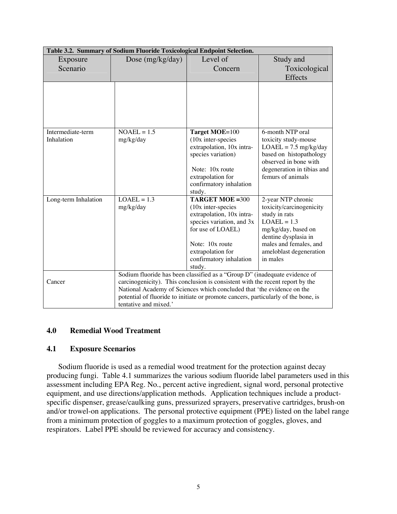| Table 3.2. Summary of Sodium Fluoride Toxicological Endpoint Selection. |                                                                                    |                                                                                      |                            |  |  |  |  |  |
|-------------------------------------------------------------------------|------------------------------------------------------------------------------------|--------------------------------------------------------------------------------------|----------------------------|--|--|--|--|--|
| Exposure                                                                | Dose (mg/kg/day)                                                                   | Level of                                                                             | Study and                  |  |  |  |  |  |
| Scenario                                                                |                                                                                    | Concern                                                                              | Toxicological              |  |  |  |  |  |
|                                                                         |                                                                                    |                                                                                      | Effects                    |  |  |  |  |  |
|                                                                         |                                                                                    |                                                                                      |                            |  |  |  |  |  |
|                                                                         |                                                                                    |                                                                                      |                            |  |  |  |  |  |
|                                                                         |                                                                                    |                                                                                      |                            |  |  |  |  |  |
|                                                                         |                                                                                    |                                                                                      |                            |  |  |  |  |  |
|                                                                         |                                                                                    |                                                                                      |                            |  |  |  |  |  |
| Intermediate-term                                                       | $NOAEL = 1.5$                                                                      | Target MOE=100                                                                       | 6-month NTP oral           |  |  |  |  |  |
| Inhalation                                                              | mg/kg/day                                                                          | $(10x$ inter-species                                                                 | toxicity study-mouse       |  |  |  |  |  |
|                                                                         |                                                                                    | extrapolation, 10x intra-                                                            | $LOAEL = 7.5$ mg/kg/day    |  |  |  |  |  |
|                                                                         |                                                                                    | species variation)                                                                   | based on histopathology    |  |  |  |  |  |
|                                                                         |                                                                                    |                                                                                      | observed in bone with      |  |  |  |  |  |
|                                                                         |                                                                                    | Note: 10x route                                                                      | degeneration in tibias and |  |  |  |  |  |
|                                                                         |                                                                                    | extrapolation for                                                                    | femurs of animals          |  |  |  |  |  |
|                                                                         |                                                                                    | confirmatory inhalation<br>study.                                                    |                            |  |  |  |  |  |
| Long-term Inhalation                                                    | $LOAEL = 1.3$                                                                      | <b>TARGET MOE = 300</b>                                                              | 2-year NTP chronic         |  |  |  |  |  |
|                                                                         | mg/kg/day                                                                          | $(10x$ inter-species                                                                 | toxicity/carcinogenicity   |  |  |  |  |  |
|                                                                         |                                                                                    | extrapolation, 10x intra-                                                            | study in rats              |  |  |  |  |  |
|                                                                         |                                                                                    | species variation, and 3x                                                            | $LOAEL = 1.3$              |  |  |  |  |  |
|                                                                         |                                                                                    | for use of LOAEL)                                                                    | mg/kg/day, based on        |  |  |  |  |  |
|                                                                         |                                                                                    |                                                                                      | dentine dysplasia in       |  |  |  |  |  |
|                                                                         |                                                                                    | Note: 10x route                                                                      | males and females, and     |  |  |  |  |  |
|                                                                         |                                                                                    | extrapolation for                                                                    | ameloblast degeneration    |  |  |  |  |  |
|                                                                         |                                                                                    | confirmatory inhalation                                                              | in males                   |  |  |  |  |  |
|                                                                         |                                                                                    | study.<br>Sodium fluoride has been classified as a "Group D" (inadequate evidence of |                            |  |  |  |  |  |
| Cancer                                                                  |                                                                                    | carcinogenicity). This conclusion is consistent with the recent report by the        |                            |  |  |  |  |  |
|                                                                         |                                                                                    | National Academy of Sciences which concluded that 'the evidence on the               |                            |  |  |  |  |  |
|                                                                         | potential of fluoride to initiate or promote cancers, particularly of the bone, is |                                                                                      |                            |  |  |  |  |  |
|                                                                         | tentative and mixed.'                                                              |                                                                                      |                            |  |  |  |  |  |

## **4.0 Remedial Wood Treatment**

#### **4.1 Exposure Scenarios**

Sodium fluoride is used as a remedial wood treatment for the protection against decay producing fungi. Table 4.1 summarizes the various sodium fluoride label parameters used in this assessment including EPA Reg. No., percent active ingredient, signal word, personal protective equipment, and use directions/application methods. Application techniques include a productspecific dispenser, grease/caulking guns, pressurized sprayers, preservative cartridges, brush-on and/or trowel-on applications. The personal protective equipment (PPE) listed on the label range from a minimum protection of goggles to a maximum protection of goggles, gloves, and respirators. Label PPE should be reviewed for accuracy and consistency.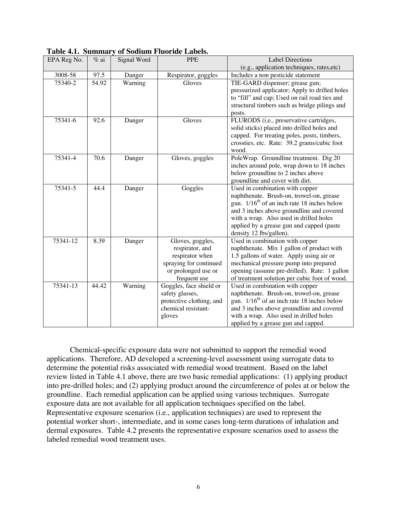| EPA Reg No. | $%$ ai | Signal Word | <b>PPE</b>                          | <b>Label Directions</b>                                    |
|-------------|--------|-------------|-------------------------------------|------------------------------------------------------------|
|             |        |             |                                     | (e.g., application techniques, rates, etc)                 |
| 3008-58     | 97.5   | Danger      | Respirator, goggles                 | Includes a non pesticide statement                         |
| 75340-2     | 54.92  | Warning     | Gloves                              | TIE-GARD dispenser; grease gun;                            |
|             |        |             |                                     | pressurized applicator; Apply to drilled holes             |
|             |        |             |                                     | to "fill" and cap; Used on rail road ties and              |
|             |        |             |                                     | structural timbers such as bridge pilings and              |
|             |        |             |                                     | posts.                                                     |
| 75341-6     | 92.6   | Danger      | Gloves                              | FLURODS (i.e., preservative cartridges,                    |
|             |        |             |                                     | solid sticks) placed into drilled holes and                |
|             |        |             |                                     | capped. For treating poles, posts, timbers,                |
|             |        |             |                                     | crossties, etc. Rate: 39.2 grams/cubic foot                |
|             |        |             |                                     | wood.                                                      |
| 75341-4     | 70.6   | Danger      | Gloves, goggles                     | PoleWrap. Groundline treatment. Dig 20                     |
|             |        |             |                                     | inches around pole, wrap down to 18 inches                 |
|             |        |             |                                     | below groundline to 2 inches above                         |
|             |        |             |                                     | groundline and cover with dirt.                            |
| 75341-5     | 44.4   | Danger      | Goggles                             | Used in combination with copper                            |
|             |        |             |                                     | naphthenate. Brush-on, trowel-on, grease                   |
|             |        |             |                                     | gun. $1/16^{th}$ of an inch rate 18 inches below           |
|             |        |             |                                     | and 3 inches above groundline and covered                  |
|             |        |             |                                     | with a wrap. Also used in drilled holes                    |
|             |        |             |                                     | applied by a grease gun and capped (paste                  |
| 75341-12    | 8.39   |             |                                     | density 12 lbs/gallon).<br>Used in combination with copper |
|             |        | Danger      | Gloves, goggles,<br>respirator, and | naphthenate. Mix 1 gallon of product with                  |
|             |        |             | respirator when                     | 1.5 gallons of water. Apply using air or                   |
|             |        |             | spraying for continued              | mechanical pressure pump into prepared                     |
|             |        |             | or prolonged use or                 | opening (assume pre-drilled). Rate: 1 gallon               |
|             |        |             | frequent use                        | of treatment solution per cubic foot of wood.              |
| 75341-13    | 44.42  | Warning     | Goggles, face shield or             | Used in combination with copper                            |
|             |        |             | safety glasses,                     | naphthenate. Brush-on, trowel-on, grease                   |
|             |        |             | protective clothing, and            | gun. 1/16 <sup>th</sup> of an inch rate 18 inches below    |
|             |        |             | chemical resistant-                 | and 3 inches above groundline and covered                  |
|             |        |             | gloves                              | with a wrap. Also used in drilled holes                    |
|             |        |             |                                     | applied by a grease gun and capped.                        |

| Table 4.1. Summary of Sodium Fluoride Labels. |  |  |  |  |
|-----------------------------------------------|--|--|--|--|
|-----------------------------------------------|--|--|--|--|

Chemical-specific exposure data were not submitted to support the remedial wood applications. Therefore, AD developed a screening-level assessment using surrogate data to determine the potential risks associated with remedial wood treatment. Based on the label review listed in Table 4.1 above, there are two basic remedial applications: (1) applying product into pre-drilled holes; and (2) applying product around the circumference of poles at or below the groundline. Each remedial application can be applied using various techniques. Surrogate exposure data are not available for all application techniques specified on the label. Representative exposure scenarios (i.e., application techniques) are used to represent the potential worker short-, intermediate, and in some cases long-term durations of inhalation and dermal exposures. Table 4.2 presents the representative exposure scenarios used to assess the labeled remedial wood treatment uses.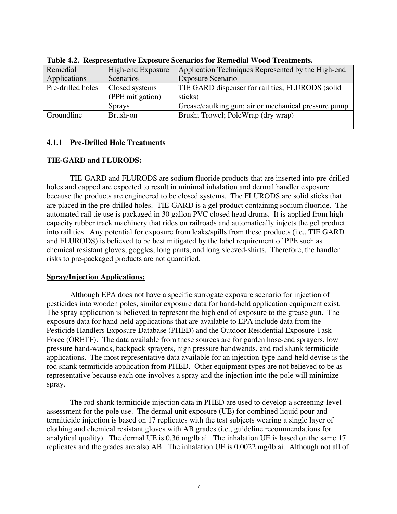| Remedial          | High-end Exposure | Application Techniques Represented by the High-end   |
|-------------------|-------------------|------------------------------------------------------|
| Applications      | Scenarios         | Exposure Scenario                                    |
| Pre-drilled holes | Closed systems    | TIE GARD dispenser for rail ties; FLURODS (solid     |
|                   | (PPE mitigation)  | sticks)                                              |
|                   | <b>Sprays</b>     | Grease/caulking gun; air or mechanical pressure pump |
| Groundline        | Brush-on          | Brush; Trowel; PoleWrap (dry wrap)                   |
|                   |                   |                                                      |

**Table 4.2. Respresentative Exposure Scenarios for Remedial Wood Treatments.**

## **4.1.1 Pre-Drilled Hole Treatments**

# **TIE-GARD and FLURODS:**

TIE-GARD and FLURODS are sodium fluoride products that are inserted into pre-drilled holes and capped are expected to result in minimal inhalation and dermal handler exposure because the products are engineered to be closed systems. The FLURODS are solid sticks that are placed in the pre-drilled holes. TIE-GARD is a gel product containing sodium fluoride. The automated rail tie use is packaged in 30 gallon PVC closed head drums. It is applied from high capacity rubber track machinery that rides on railroads and automatically injects the gel product into rail ties. Any potential for exposure from leaks/spills from these products (i.e., TIE GARD and FLURODS) is believed to be best mitigated by the label requirement of PPE such as chemical resistant gloves, goggles, long pants, and long sleeved-shirts. Therefore, the handler risks to pre-packaged products are not quantified.

## **Spray/Injection Applications:**

Although EPA does not have a specific surrogate exposure scenario for injection of pesticides into wooden poles, similar exposure data for hand-held application equipment exist. The spray application is believed to represent the high end of exposure to the grease gun. The exposure data for hand-held applications that are available to EPA include data from the Pesticide Handlers Exposure Database (PHED) and the Outdoor Residential Exposure Task Force (ORETF). The data available from these sources are for garden hose-end sprayers, low pressure hand-wands, backpack sprayers, high pressure handwands, and rod shank termiticide applications. The most representative data available for an injection-type hand-held devise is the rod shank termiticide application from PHED. Other equipment types are not believed to be as representative because each one involves a spray and the injection into the pole will minimize spray.

The rod shank termiticide injection data in PHED are used to develop a screening-level assessment for the pole use. The dermal unit exposure (UE) for combined liquid pour and termiticide injection is based on 17 replicates with the test subjects wearing a single layer of clothing and chemical resistant gloves with AB grades (i.e., guideline recommendations for analytical quality). The dermal UE is 0.36 mg/lb ai. The inhalation UE is based on the same 17 replicates and the grades are also AB. The inhalation UE is 0.0022 mg/lb ai. Although not all of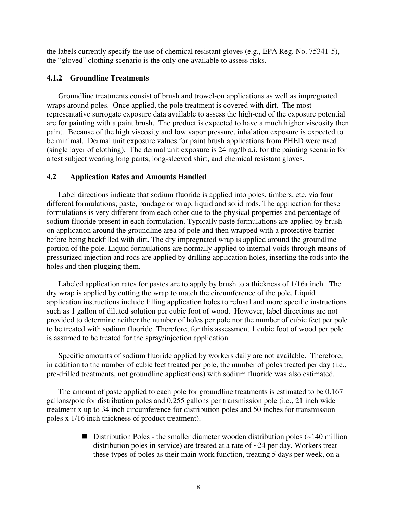the labels currently specify the use of chemical resistant gloves (e.g., EPA Reg. No. 75341-5), the "gloved" clothing scenario is the only one available to assess risks.

## **4.1.2 Groundline Treatments**

Groundline treatments consist of brush and trowel-on applications as well as impregnated wraps around poles. Once applied, the pole treatment is covered with dirt. The most representative surrogate exposure data available to assess the high-end of the exposure potential are for painting with a paint brush. The product is expected to have a much higher viscosity then paint. Because of the high viscosity and low vapor pressure, inhalation exposure is expected to be minimal. Dermal unit exposure values for paint brush applications from PHED were used (single layer of clothing). The dermal unit exposure is 24 mg/lb a.i. for the painting scenario for a test subject wearing long pants, long-sleeved shirt, and chemical resistant gloves.

#### **4.2 Application Rates and Amounts Handled**

Label directions indicate that sodium fluoride is applied into poles, timbers, etc, via four different formulations; paste, bandage or wrap, liquid and solid rods. The application for these formulations is very different from each other due to the physical properties and percentage of sodium fluoride present in each formulation. Typically paste formulations are applied by brushon application around the groundline area of pole and then wrapped with a protective barrier before being backfilled with dirt. The dry impregnated wrap is applied around the groundline portion of the pole. Liquid formulations are normally applied to internal voids through means of pressurized injection and rods are applied by drilling application holes, inserting the rods into the holes and then plugging them.

Labeled application rates for pastes are to apply by brush to a thickness of 1/16th inch. The dry wrap is applied by cutting the wrap to match the circumference of the pole. Liquid application instructions include filling application holes to refusal and more specific instructions such as 1 gallon of diluted solution per cubic foot of wood. However, label directions are not provided to determine neither the number of holes per pole nor the number of cubic feet per pole to be treated with sodium fluoride. Therefore, for this assessment 1 cubic foot of wood per pole is assumed to be treated for the spray/injection application.

Specific amounts of sodium fluoride applied by workers daily are not available. Therefore, in addition to the number of cubic feet treated per pole, the number of poles treated per day (i.e., pre-drilled treatments, not groundline applications) with sodium fluoride was also estimated.

The amount of paste applied to each pole for groundline treatments is estimated to be 0.167 gallons/pole for distribution poles and 0.255 gallons per transmission pole (i.e., 21 inch wide treatment x up to 34 inch circumference for distribution poles and 50 inches for transmission poles x 1/16 inch thickness of product treatment).

> **Distribution Poles - the smaller diameter wooden distribution poles (** $\sim$ **140 million**) distribution poles in service) are treated at a rate of ~24 per day. Workers treat these types of poles as their main work function, treating 5 days per week, on a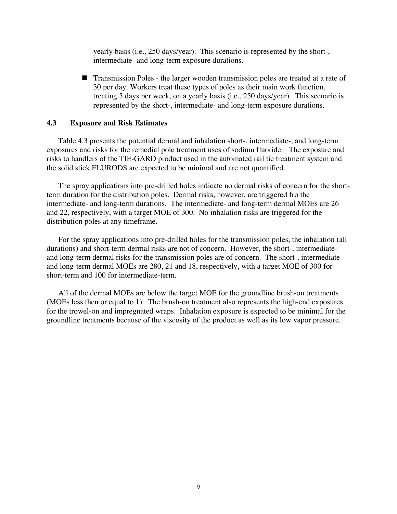yearly basis (i.e., 250 days/year). This scenario is represented by the short-, intermediate- and long-term exposure durations.

! Transmission Poles - the larger wooden transmission poles are treated at a rate of 30 per day. Workers treat these types of poles as their main work function, treating 5 days per week, on a yearly basis (i.e., 250 days/year). This scenario is represented by the short-, intermediate- and long-term exposure durations.

### **4.3 Exposure and Risk Estimates**

Table 4.3 presents the potential dermal and inhalation short-, intermediate-, and long-term exposures and risks for the remedial pole treatment uses of sodium fluoride. The exposure and risks to handlers of the TIE-GARD product used in the automated rail tie treatment system and the solid stick FLURODS are expected to be minimal and are not quantified.

The spray applications into pre-drilled holes indicate no dermal risks of concern for the shortterm duration for the distribution poles. Dermal risks, however, are triggered fro the intermediate- and long-term durations. The intermediate- and long-term dermal MOEs are 26 and 22, respectively, with a target MOE of 300. No inhalation risks are triggered for the distribution poles at any timeframe.

For the spray applications into pre-drilled holes for the transmission poles, the inhalation (all durations) and short-term dermal risks are not of concern. However, the short-, intermediateand long-term dermal risks for the transmission poles are of concern. The short-, intermediateand long-term dermal MOEs are 280, 21 and 18, respectively, with a target MOE of 300 for short-term and 100 for intermediate-term.

All of the dermal MOEs are below the target MOE for the groundline brush-on treatments (MOEs less then or equal to 1). The brush-on treatment also represents the high-end exposures for the trowel-on and impregnated wraps. Inhalation exposure is expected to be minimal for the groundline treatments because of the viscosity of the product as well as its low vapor pressure.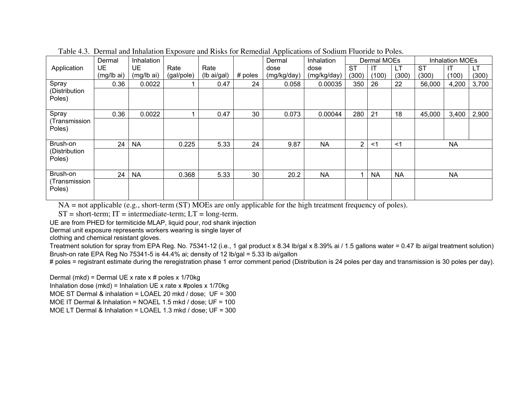|                         |            |            |            |             |         | . .         |             |           |             |           |           |                        |       |
|-------------------------|------------|------------|------------|-------------|---------|-------------|-------------|-----------|-------------|-----------|-----------|------------------------|-------|
|                         | Dermal     | Inhalation |            |             |         | Dermal      | Inhalation  |           | Dermal MOEs |           |           | <b>Inhalation MOEs</b> |       |
| Application             | <b>UE</b>  | <b>UE</b>  | Rate       | Rate        |         | dose        | dose        | <b>ST</b> |             | <b>LT</b> | <b>ST</b> | $\mathsf{I}\mathsf{T}$ | LT    |
|                         | (mg/lb ai) | (mg/lb ai) | (gal/pole) | (lb ai/gal) | # poles | (mg/kg/day) | (mg/kg/day) | (300)     | (100)       | (300)     | (300)     | (100)                  | (300) |
| Spray                   | 0.36       | 0.0022     |            | 0.47        | 24      | 0.058       | 0.00035     | 350       | 26          | 22        | 56,000    | 4,200                  | 3,700 |
| (Distribution<br>Poles) |            |            |            |             |         |             |             |           |             |           |           |                        |       |
| Spray                   | 0.36       | 0.0022     |            | 0.47        | 30      | 0.073       | 0.00044     | 280       | 21          | 18        | 45,000    | 3,400                  | 2,900 |
| (Transmission<br>Poles) |            |            |            |             |         |             |             |           |             |           |           |                        |       |
| Brush-on                | 24         | <b>NA</b>  | 0.225      | 5.33        | 24      | 9.87        | <b>NA</b>   | 2         | <1          | $<$ 1     |           | <b>NA</b>              |       |
| (Distribution<br>Poles) |            |            |            |             |         |             |             |           |             |           |           |                        |       |
| Brush-on                | 24         | <b>NA</b>  | 0.368      | 5.33        | 30      | 20.2        | <b>NA</b>   |           | <b>NA</b>   | <b>NA</b> |           | <b>NA</b>              |       |
| (Transmission<br>Poles) |            |            |            |             |         |             |             |           |             |           |           |                        |       |

Table 4.3. Dermal and Inhalation Exposure and Risks for Remedial Applications of Sodium Fluoride to Poles.

NA = not applicable (e.g., short-term (ST) MOEs are only applicable for the high treatment frequency of poles).

 $ST = short-term$ ;  $IT = intermediate-term$ ;  $LT = long-term$ .

UE are from PHED for termiticide MLAP, liquid pour, rod shank injection

Dermal unit exposure represents workers wearing is single layer of

clothing and che mic al resistant glo v es.

Treatment solution for spray from EPA Reg. No. 75341-12 (i.e., 1 gal product x 8.34 lb/gal x 8.39% ai / 1.5 gallons water = 0.47 lb ai/gal treatment solution) Brush-on rate EPA Reg No 75341-5 is 44.4% ai; density of 12 lb/gal = 5.33 lb ai/gallon

# poles = registrant estimate during the reregistration phase 1 error comment period (Distribution is 24 poles per day and transmission is 30 poles per day).

Dermal (mkd) = Dermal UE x rate x # poles x 1/70kg

Inhalation dose (mkd) = Inhalation UE x rate x #poles x 1/70kg

MOE ST Dermal & inhalation = LOAEL 20 mkd / dose; UF = 300

MOE IT Dermal & Inhalation = NOAEL 1.5 mkd / dose; UF = 100

MOE LT Dermal & Inhalation = LOAEL 1.3 mkd / dose; UF = 300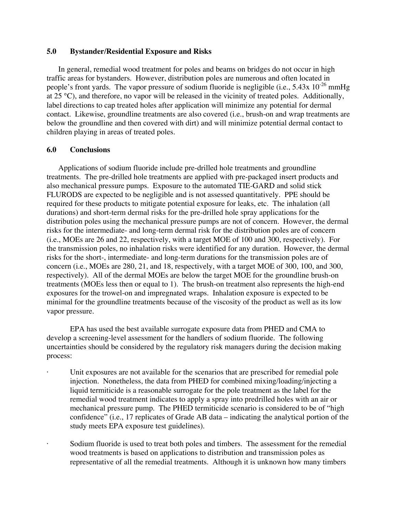#### **5.0 Bystander/Residential Exposure and Risks**

In general, remedial wood treatment for poles and beams on bridges do not occur in high traffic areas for bystanders. However, distribution poles are numerous and often located in people's front yards. The vapor pressure of sodium fluoride is negligible (i.e.,  $5.43x 10^{-26}$  mmHg at 25 °C), and therefore, no vapor will be released in the vicinity of treated poles. Additionally, label directions to cap treated holes after application will minimize any potential for dermal contact. Likewise, groundline treatments are also covered (i.e., brush-on and wrap treatments are below the groundline and then covered with dirt) and will minimize potential dermal contact to children playing in areas of treated poles.

### **6.0 Conclusions**

Applications of sodium fluoride include pre-drilled hole treatments and groundline treatments. The pre-drilled hole treatments are applied with pre-packaged insert products and also mechanical pressure pumps. Exposure to the automated TIE-GARD and solid stick FLURODS are expected to be negligible and is not assessed quantitatively. PPE should be required for these products to mitigate potential exposure for leaks, etc. The inhalation (all durations) and short-term dermal risks for the pre-drilled hole spray applications for the distribution poles using the mechanical pressure pumps are not of concern. However, the dermal risks for the intermediate- and long-term dermal risk for the distribution poles are of concern (i.e., MOEs are 26 and 22, respectively, with a target MOE of 100 and 300, respectively). For the transmission poles, no inhalation risks were identified for any duration. However, the dermal risks for the short-, intermediate- and long-term durations for the transmission poles are of concern (i.e., MOEs are 280, 21, and 18, respectively, with a target MOE of 300, 100, and 300, respectively). All of the dermal MOEs are below the target MOE for the groundline brush-on treatments (MOEs less then or equal to 1). The brush-on treatment also represents the high-end exposures for the trowel-on and impregnated wraps. Inhalation exposure is expected to be minimal for the groundline treatments because of the viscosity of the product as well as its low vapor pressure.

EPA has used the best available surrogate exposure data from PHED and CMA to develop a screening-level assessment for the handlers of sodium fluoride. The following uncertainties should be considered by the regulatory risk managers during the decision making process:

- Unit exposures are not available for the scenarios that are prescribed for remedial pole injection. Nonetheless, the data from PHED for combined mixing/loading/injecting a liquid termiticide is a reasonable surrogate for the pole treatment as the label for the remedial wood treatment indicates to apply a spray into predrilled holes with an air or mechanical pressure pump. The PHED termiticide scenario is considered to be of "high confidence" (i.e., 17 replicates of Grade AB data – indicating the analytical portion of the study meets EPA exposure test guidelines).
- Sodium fluoride is used to treat both poles and timbers. The assessment for the remedial wood treatments is based on applications to distribution and transmission poles as representative of all the remedial treatments. Although it is unknown how many timbers